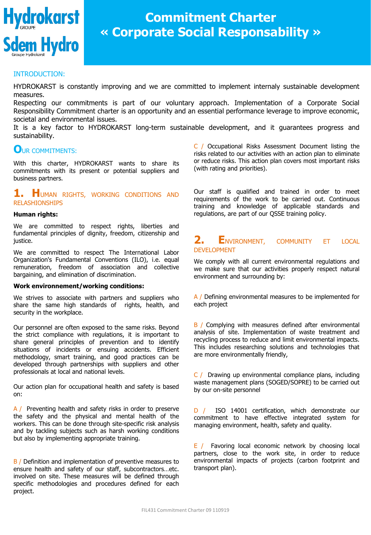

# **Commitment Charter « Corporate Social Responsability »**

### INTRODUCTION:

HYDROKARST is constantly improving and we are committed to implement internaly sustainable development measures.

Respecting our commitments is part of our voluntary approach. Implementation of a Corporate Social Responsibility Commitment charter is an opportunity and an essential performance leverage to improve economic, societal and environmental issues.

It is a key factor to HYDROKARST long-term sustainable development, and it guarantees progress and sustainability.

# **O**UR COMMITMENTS:

With this charter, HYDROKARST wants to share its commitments with its present or potential suppliers and business partners.

## **1. H**UMAN RIGHTS, WORKING CONDITIONS AND RELASHIONSHIPS

#### **Human rights:**

We are committed to respect rights, liberties and fundamental principles of dignity, freedom, citizenship and justice.

We are committed to respect The International Labor Organization's Fundamental Conventions (ILO), i.e. equal remuneration, freedom of association and collective bargaining, and elimination of discrimination.

#### **Work environnement/working conditions:**

We strives to associate with partners and suppliers who share the same high standards of rights, health, and security in the workplace.

Our personnel are often exposed to the same risks. Beyond the strict compliance with regulations, it is important to share general principles of prevention and to identify situations of incidents or ensuing accidents. Efficient methodology, smart training, and good practices can be developed through partnerships with suppliers and other professionals at local and national levels.

Our action plan for occupational health and safety is based on:

A / Preventing health and safety risks in order to preserve the safety and the physical and mental health of the workers. This can be done through site-specific risk analysis and by tackling subjects such as harsh working conditions but also by implementing appropriate training.

B / Definition and implementation of preventive measures to ensure health and safety of our staff, subcontractors…etc. involved on site. These measures will be defined through specific methodologies and procedures defined for each project.

C / Occupational Risks Assessment Document listing the risks related to our activities with an action plan to eliminate or reduce risks. This action plan covers most important risks (with rating and priorities).

Our staff is qualified and trained in order to meet requirements of the work to be carried out. Continuous training and knowledge of applicable standards and regulations, are part of our QSSE training policy.

## **2. E**NVIRONMENT, COMMUNITY ET LOCAL DEVELOPMENT

We comply with all current environmental regulations and we make sure that our activities properly respect natural environment and surrounding by:

A / Defining environmental measures to be implemented for each project

B / Complying with measures defined after environmental analysis of site. Implementation of waste treatment and recycling process to reduce and limit environmental impacts. This includes researching solutions and technologies that are more environmentally friendly,

C / Drawing up environmental compliance plans, including waste management plans (SOGED/SOPRE) to be carried out by our on-site personnel

D / ISO 14001 certification, which demonstrate our commitment to have effective integrated system for managing environment, health, safety and quality.

E / Favoring local economic network by choosing local partners, close to the work site, in order to reduce environmental impacts of projects (carbon footprint and transport plan).